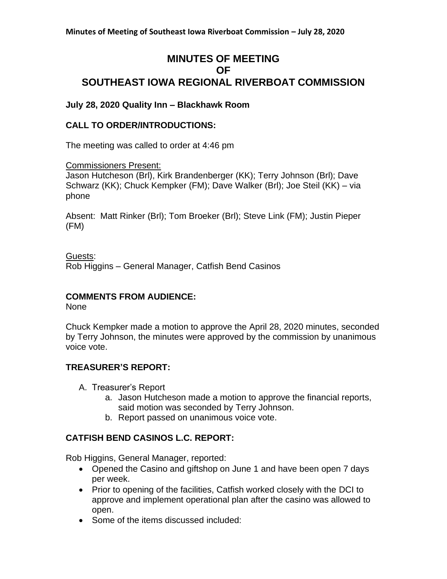# **MINUTES OF MEETING OF SOUTHEAST IOWA REGIONAL RIVERBOAT COMMISSION**

### **July 28, 2020 Quality Inn – Blackhawk Room**

### **CALL TO ORDER/INTRODUCTIONS:**

The meeting was called to order at 4:46 pm

Commissioners Present:

Jason Hutcheson (Brl), Kirk Brandenberger (KK); Terry Johnson (Brl); Dave Schwarz (KK); Chuck Kempker (FM); Dave Walker (Brl); Joe Steil (KK) – via phone

Absent: Matt Rinker (Brl); Tom Broeker (Brl); Steve Link (FM); Justin Pieper (FM)

Guests:

Rob Higgins – General Manager, Catfish Bend Casinos

### **COMMENTS FROM AUDIENCE:**

None

Chuck Kempker made a motion to approve the April 28, 2020 minutes, seconded by Terry Johnson, the minutes were approved by the commission by unanimous voice vote.

### **TREASURER'S REPORT:**

- A. Treasurer's Report
	- a. Jason Hutcheson made a motion to approve the financial reports, said motion was seconded by Terry Johnson.
	- b. Report passed on unanimous voice vote.

## **CATFISH BEND CASINOS L.C. REPORT:**

Rob Higgins, General Manager, reported:

- Opened the Casino and giftshop on June 1 and have been open 7 days per week.
- Prior to opening of the facilities, Catfish worked closely with the DCI to approve and implement operational plan after the casino was allowed to open.
- Some of the items discussed included: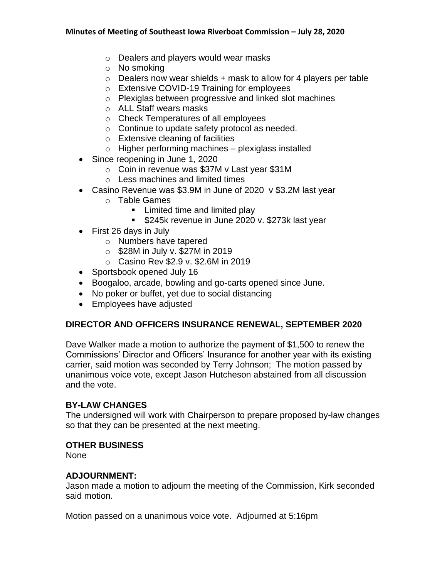- o Dealers and players would wear masks
- o No smoking
- $\circ$  Dealers now wear shields + mask to allow for 4 players per table
- o Extensive COVID-19 Training for employees
- o Plexiglas between progressive and linked slot machines
- o ALL Staff wears masks
- o Check Temperatures of all employees
- o Continue to update safety protocol as needed.
- o Extensive cleaning of facilities
- $\circ$  Higher performing machines plexiglass installed
- Since reopening in June 1, 2020
	- o Coin in revenue was \$37M v Last year \$31M
	- o Less machines and limited times
- Casino Revenue was \$3.9M in June of 2020 v \$3.2M last year
	- o Table Games
		- Limited time and limited play
		- \$245k revenue in June 2020 v. \$273k last year
- First 26 days in July
	- o Numbers have tapered
	- $\circ$  \$28M in July v. \$27M in 2019
	- o Casino Rev \$2.9 v. \$2.6M in 2019
- Sportsbook opened July 16
- Boogaloo, arcade, bowling and go-carts opened since June.
- No poker or buffet, yet due to social distancing
- Employees have adjusted

### **DIRECTOR AND OFFICERS INSURANCE RENEWAL, SEPTEMBER 2020**

Dave Walker made a motion to authorize the payment of \$1,500 to renew the Commissions' Director and Officers' Insurance for another year with its existing carrier, said motion was seconded by Terry Johnson; The motion passed by unanimous voice vote, except Jason Hutcheson abstained from all discussion and the vote.

### **BY-LAW CHANGES**

The undersigned will work with Chairperson to prepare proposed by-law changes so that they can be presented at the next meeting.

### **OTHER BUSINESS**

None

## **ADJOURNMENT:**

Jason made a motion to adjourn the meeting of the Commission, Kirk seconded said motion.

Motion passed on a unanimous voice vote. Adjourned at 5:16pm